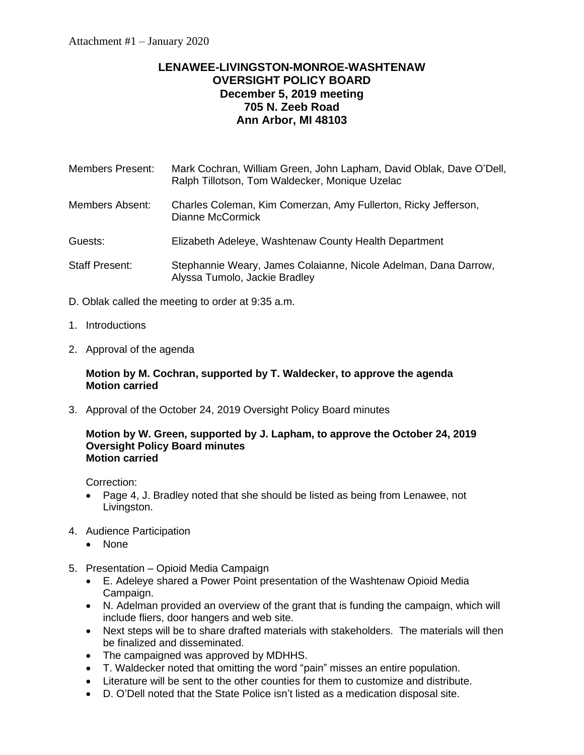# **LENAWEE-LIVINGSTON-MONROE-WASHTENAW OVERSIGHT POLICY BOARD December 5, 2019 meeting 705 N. Zeeb Road Ann Arbor, MI 48103**

| Members Present: | Mark Cochran, William Green, John Lapham, David Oblak, Dave O'Dell, |
|------------------|---------------------------------------------------------------------|
|                  | Ralph Tillotson, Tom Waldecker, Monique Uzelac                      |

Members Absent: Charles Coleman, Kim Comerzan, Amy Fullerton, Ricky Jefferson, Dianne McCormick

Guests: Elizabeth Adeleye, Washtenaw County Health Department

- Staff Present: Stephannie Weary, James Colaianne, Nicole Adelman, Dana Darrow, Alyssa Tumolo, Jackie Bradley
- D. Oblak called the meeting to order at 9:35 a.m.
- 1. Introductions
- 2. Approval of the agenda

### **Motion by M. Cochran, supported by T. Waldecker, to approve the agenda Motion carried**

3. Approval of the October 24, 2019 Oversight Policy Board minutes

#### **Motion by W. Green, supported by J. Lapham, to approve the October 24, 2019 Oversight Policy Board minutes Motion carried**

Correction:

- Page 4, J. Bradley noted that she should be listed as being from Lenawee, not Livingston.
- 4. Audience Participation
	- None
- 5. Presentation Opioid Media Campaign
	- E. Adeleye shared a Power Point presentation of the Washtenaw Opioid Media Campaign.
	- N. Adelman provided an overview of the grant that is funding the campaign, which will include fliers, door hangers and web site.
	- Next steps will be to share drafted materials with stakeholders. The materials will then be finalized and disseminated.
	- The campaigned was approved by MDHHS.
	- T. Waldecker noted that omitting the word "pain" misses an entire population.
	- Literature will be sent to the other counties for them to customize and distribute.
	- D. O'Dell noted that the State Police isn't listed as a medication disposal site.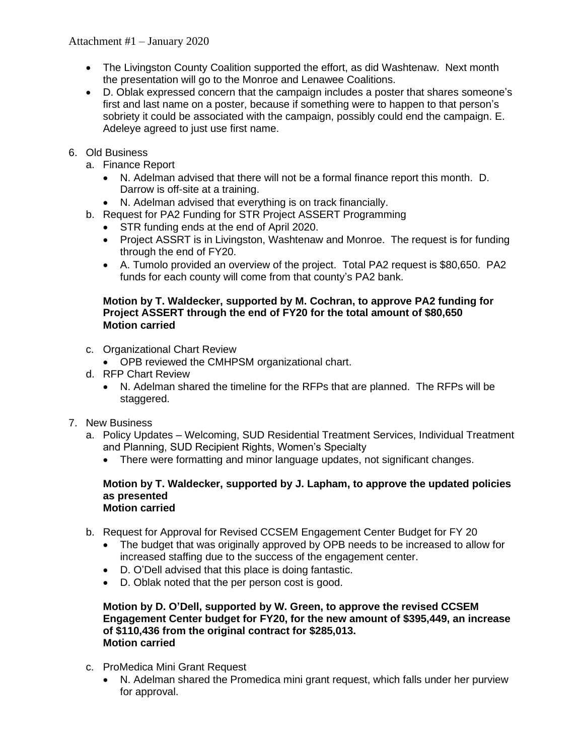# Attachment #1 – January 2020

- The Livingston County Coalition supported the effort, as did Washtenaw. Next month the presentation will go to the Monroe and Lenawee Coalitions.
- D. Oblak expressed concern that the campaign includes a poster that shares someone's first and last name on a poster, because if something were to happen to that person's sobriety it could be associated with the campaign, possibly could end the campaign. E. Adeleye agreed to just use first name.
- 6. Old Business
	- a. Finance Report
		- N. Adelman advised that there will not be a formal finance report this month. D. Darrow is off-site at a training.
		- N. Adelman advised that everything is on track financially.
	- b. Request for PA2 Funding for STR Project ASSERT Programming
		- STR funding ends at the end of April 2020.
		- Project ASSRT is in Livingston, Washtenaw and Monroe. The request is for funding through the end of FY20.
		- A. Tumolo provided an overview of the project. Total PA2 request is \$80,650. PA2 funds for each county will come from that county's PA2 bank.

### **Motion by T. Waldecker, supported by M. Cochran, to approve PA2 funding for Project ASSERT through the end of FY20 for the total amount of \$80,650 Motion carried**

- c. Organizational Chart Review
	- OPB reviewed the CMHPSM organizational chart.
- d. RFP Chart Review
	- N. Adelman shared the timeline for the RFPs that are planned. The RFPs will be staggered.
- 7. New Business
	- a. Policy Updates Welcoming, SUD Residential Treatment Services, Individual Treatment and Planning, SUD Recipient Rights, Women's Specialty
		- There were formatting and minor language updates, not significant changes.

#### **Motion by T. Waldecker, supported by J. Lapham, to approve the updated policies as presented Motion carried**

- b. Request for Approval for Revised CCSEM Engagement Center Budget for FY 20
	- The budget that was originally approved by OPB needs to be increased to allow for increased staffing due to the success of the engagement center.
	- D. O'Dell advised that this place is doing fantastic.
	- D. Oblak noted that the per person cost is good.

#### **Motion by D. O'Dell, supported by W. Green, to approve the revised CCSEM Engagement Center budget for FY20, for the new amount of \$395,449, an increase of \$110,436 from the original contract for \$285,013. Motion carried**

- c. ProMedica Mini Grant Request
	- N. Adelman shared the Promedica mini grant request, which falls under her purview for approval.